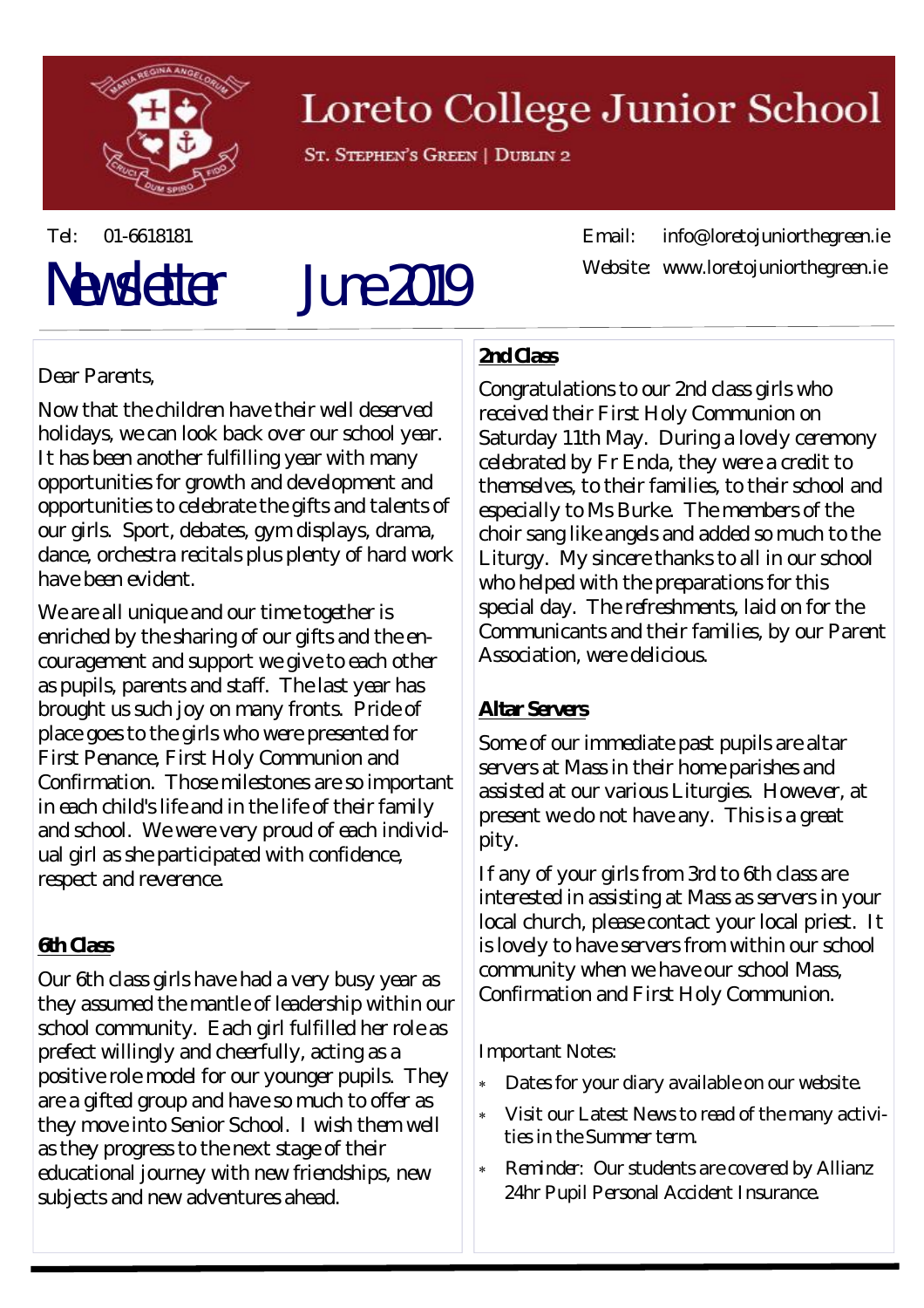

## Loreto College Junior School

ST. STEPHEN'S GREEN | DUBLIN 2

# Newsletter June 2019

Tel: 01-6618181 Email: info@loretojuniorthegreen.ie Website: www.loretojuniorthegreen.ie

## Dear Parents,

Now that the children have their well deserved holidays, we can look back over our school year. It has been another fulfilling year with many opportunities for growth and development and opportunities to celebrate the gifts and talents of our girls. Sport, debates, gym displays, drama, dance, orchestra recitals plus plenty of hard work have been evident.

We are all unique and our time together is enriched by the sharing of our gifts and the encouragement and support we give to each other as pupils, parents and staff. The last year has brought us such joy on many fronts. Pride of place goes to the girls who were presented for First Penance, First Holy Communion and Confirmation. Those milestones are so important in each child's life and in the life of their family and school. We were very proud of each individual girl as she participated with confidence, respect and reverence.

#### **6th Class**

Our 6th class girls have had a very busy year as they assumed the mantle of leadership within our school community. Each girl fulfilled her role as prefect willingly and cheerfully, acting as a positive role model for our younger pupils. They are a gifted group and have so much to offer as they move into Senior School. I wish them well as they progress to the next stage of their educational journey with new friendships, new subjects and new adventures ahead.

#### **2nd Class**

Congratulations to our 2nd class girls who received their First Holy Communion on Saturday 11th May. During a lovely ceremony celebrated by Fr Enda, they were a credit to themselves, to their families, to their school and especially to Ms Burke. The members of the choir sang like angels and added so much to the Liturgy. My sincere thanks to all in our school who helped with the preparations for this special day. The refreshments, laid on for the Communicants and their families, by our Parent Association, were delicious.

#### **Altar Servers**

Some of our immediate past pupils are altar servers at Mass in their home parishes and assisted at our various Liturgies. However, at present we do not have any. This is a great pity.

If any of your girls from 3rd to 6th class are interested in assisting at Mass as servers in your local church, please contact your local priest. It is lovely to have servers from within our school community when we have our school Mass, Confirmation and First Holy Communion.

Important Notes:

- Dates for your diary available on our website.
- Visit our Latest News to read of the many activities in the Summer term.
- *Reminder:* Our students are covered by Allianz 24hr Pupil Personal Accident Insurance.